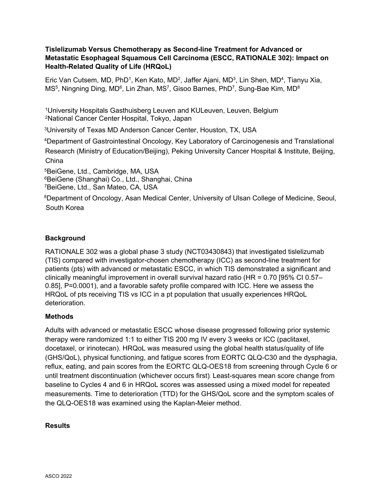#### **Tislelizumab Versus Chemotherapy as Second-line Treatment for Advanced or Metastatic Esophageal Squamous Cell Carcinoma (ESCC, RATIONALE 302): Impact on Health-Related Quality of Life (HRQoL)**

Eric Van Cutsem, MD, PhD<sup>1</sup>, Ken Kato, MD<sup>2</sup>, Jaffer Ajani, MD<sup>3</sup>, Lin Shen, MD<sup>4</sup>, Tianyu Xia, MS $^5$ , Ningning Ding, MD $^6$ , Lin Zhan, MS $^7$ , Gisoo Barnes, PhD $^7$ , Sung-Bae Kim, MD $^8$ 

<sup>1</sup>University Hospitals Gasthuisberg Leuven and KULeuven, Leuven, Belgium <sup>2</sup>National Cancer Center Hospital, Tokyo, Japan

3University of Texas MD Anderson Cancer Center, Houston, TX, USA

<sup>4</sup>Department of Gastrointestinal Oncology, Key Laboratory of Carcinogenesis and Translational Research (Ministry of Education/Beijing), Peking University Cancer Hospital & Institute, Beijing, China

5BeiGene, Ltd., Cambridge, MA, USA 6BeiGene (Shanghai) Co., Ltd., Shanghai, China 7BeiGene, Ltd., San Mateo, CA, USA

8Department of Oncology, Asan Medical Center, University of Ulsan College of Medicine, Seoul, South Korea

# **Background**

RATIONALE 302 was a global phase 3 study (NCT03430843) that investigated tislelizumab (TIS) compared with investigator-chosen chemotherapy (ICC) as second-line treatment for patients (pts) with advanced or metastatic ESCC, in which TIS demonstrated a significant and clinically meaningful improvement in overall survival hazard ratio (HR = 0.70 [95% CI 0.57– 0.85], P=0.0001), and a favorable safety profile compared with ICC. Here we assess the HRQoL of pts receiving TIS vs ICC in a pt population that usually experiences HRQoL deterioration.

# **Methods**

Adults with advanced or metastatic ESCC whose disease progressed following prior systemic therapy were randomized 1:1 to either TIS 200 mg IV every 3 weeks or ICC (paclitaxel, docetaxel, or irinotecan). HRQoL was measured using the global health status/quality of life (GHS/QoL), physical functioning, and fatigue scores from EORTC QLQ-C30 and the dysphagia, reflux, eating, and pain scores from the EORTC QLQ-OES18 from screening through Cycle 6 or until treatment discontinuation (whichever occurs first). Least-squares mean score change from baseline to Cycles 4 and 6 in HRQoL scores was assessed using a mixed model for repeated measurements. Time to deterioration (TTD) for the GHS/QoL score and the symptom scales of the QLQ-OES18 was examined using the Kaplan-Meier method.

# **Results**